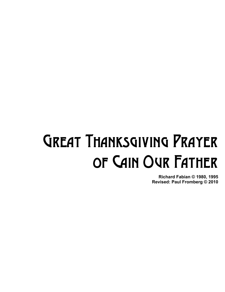## Great Thanksgiving Prayer of Cain Our Father

**Richard Fabian © 1980, 1995 Revised: Paul Fromberg © 2010**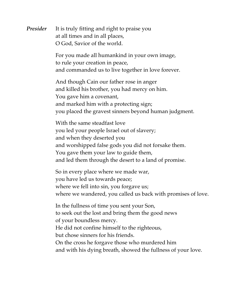*Presider* It is truly fitting and right to praise you at all times and in all places, O God, Savior of the world.

> For you made all humankind in your own image, to rule your creation in peace, and commanded us to live together in love forever.

And though Cain our father rose in anger and killed his brother, you had mercy on him. You gave him a covenant, and marked him with a protecting sign; you placed the gravest sinners beyond human judgment.

With the same steadfast love you led your people Israel out of slavery; and when they deserted you and worshipped false gods you did not forsake them. You gave them your law to guide them, and led them through the desert to a land of promise.

So in every place where we made war, you have led us towards peace; where we fell into sin, you forgave us; where we wandered, you called us back with promises of love.

In the fullness of time you sent your Son, to seek out the lost and bring them the good news of your boundless mercy. He did not confine himself to the righteous, but chose sinners for his friends. On the cross he forgave those who murdered him and with his dying breath, showed the fullness of your love.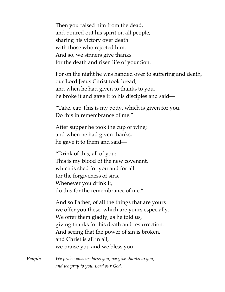Then you raised him from the dead, and poured out his spirit on all people, sharing his victory over death with those who rejected him. And so, we sinners give thanks for the death and risen life of your Son.

For on the night he was handed over to suffering and death, our Lord Jesus Christ took bread; and when he had given to thanks to you, he broke it and gave it to his disciples and said—

"Take, eat: This is my body, which is given for you. Do this in remembrance of me."

After supper he took the cup of wine; and when he had given thanks, he gave it to them and said—

"Drink of this, all of you: This is my blood of the new covenant, which is shed for you and for all for the forgiveness of sins. Whenever you drink it, do this for the remembrance of me."

And so Father, of all the things that are yours we offer you these, which are yours especially. We offer them gladly, as he told us, giving thanks for his death and resurrection. And seeing that the power of sin is broken, and Christ is all in all, we praise you and we bless you.

*People We praise you, we bless you, we give thanks to you, and we pray to you, Lord our God.*